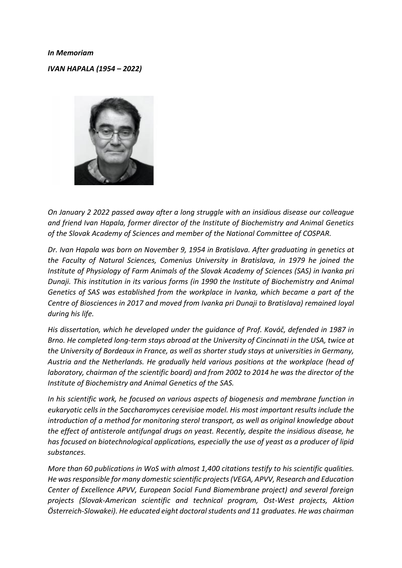## *In Memoriam*

*IVAN HAPALA (1954 – 2022)*



*On January 2 2022 passed away after a long struggle with an insidious disease our colleague and friend Ivan Hapala, former director of the Institute of Biochemistry and Animal Genetics of the Slovak Academy of Sciences and member of the National Committee of COSPAR.*

*Dr. Ivan Hapala was born on November 9, 1954 in Bratislava. After graduating in genetics at the Faculty of Natural Sciences, Comenius University in Bratislava, in 1979 he joined the Institute of Physiology of Farm Animals of the Slovak Academy of Sciences (SAS) in Ivanka pri Dunaji. This institution in its various forms (in 1990 the Institute of Biochemistry and Animal Genetics of SAS was established from the workplace in Ivanka, which became a part of the Centre of Biosciences in 2017 and moved from Ivanka pri Dunaji to Bratislava) remained loyal during his life.*

*His dissertation, which he developed under the guidance of Prof. Kováč, defended in 1987 in Brno. He completed long-term stays abroad at the University of Cincinnati in the USA, twice at the University of Bordeaux in France, as well as shorter study stays at universities in Germany, Austria and the Netherlands. He gradually held various positions at the workplace (head of laboratory, chairman of the scientific board) and from 2002 to 2014 he was the director of the Institute of Biochemistry and Animal Genetics of the SAS.*

*In his scientific work, he focused on various aspects of biogenesis and membrane function in eukaryotic cells in the Saccharomyces cerevisiae model. His most important results include the introduction of a method for monitoring sterol transport, as well as original knowledge about the effect of antisterole antifungal drugs on yeast. Recently, despite the insidious disease, he has focused on biotechnological applications, especially the use of yeast as a producer of lipid substances.*

*More than 60 publications in WoS with almost 1,400 citations testify to his scientific qualities. He was responsible for many domestic scientific projects (VEGA, APVV, Research and Education Center of Excellence APVV, European Social Fund Biomembrane project) and several foreign projects (Slovak-American scientific and technical program, Ost-West projects, Aktion Österreich-Slowakei). He educated eight doctoral students and 11 graduates. He was chairman*